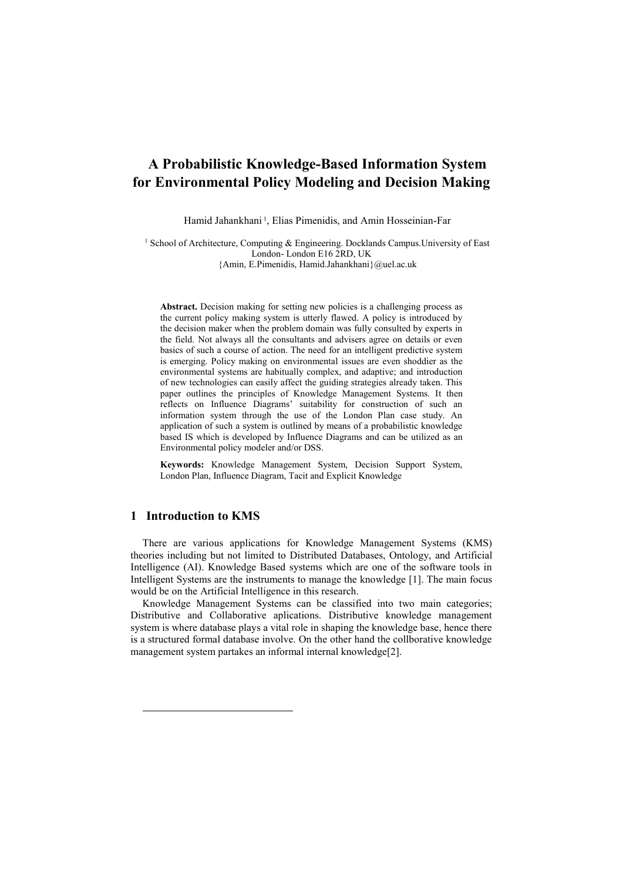# **A Probabilistic Knowledge-Based Information System for Environmental Policy Modeling and Decision Making**

Hamid Jahankhani<sup>1</sup>, Elias Pimenidis, and Amin Hosseinian-Far

<sup>1</sup> School of Architecture, Computing & Engineering. Docklands Campus. University of East London- London E16 2RD, UK {Amin, E.Pimenidis, Hamid.Jahankhani}@uel.ac.uk

**Abstract.** Decision making for setting new policies is a challenging process as the current policy making system is utterly flawed. A policy is introduced by the decision maker when the problem domain was fully consulted by experts in the field. Not always all the consultants and advisers agree on details or even basics of such a course of action. The need for an intelligent predictive system is emerging. Policy making on environmental issues are even shoddier as the environmental systems are habitually complex, and adaptive; and introduction of new technologies can easily affect the guiding strategies already taken. This paper outlines the principles of Knowledge Management Systems. It then reflects on Influence Diagrams' suitability for construction of such an information system through the use of the London Plan case study. An application of such a system is outlined by means of a probabilistic knowledge based IS which is developed by Influence Diagrams and can be utilized as an Environmental policy modeler and/or DSS.

**Keywords:** Knowledge Management System, Decision Support System, London Plan, Influence Diagram, Tacit and Explicit Knowledge

#### **1 Introduction to KMS**

-

There are various applications for Knowledge Management Systems (KMS) theories including but not limited to Distributed Databases, Ontology, and Artificial Intelligence (AI). Knowledge Based systems which are one of the software tools in Intelligent Systems are the instruments to manage the knowledge [1]. The main focus would be on the Artificial Intelligence in this research.

Knowledge Management Systems can be classified into two main categories; Distributive and Collaborative aplications. Distributive knowledge management system is where database plays a vital role in shaping the knowledge base, hence there is a structured formal database involve. On the other hand the collborative knowledge management system partakes an informal internal knowledge[2].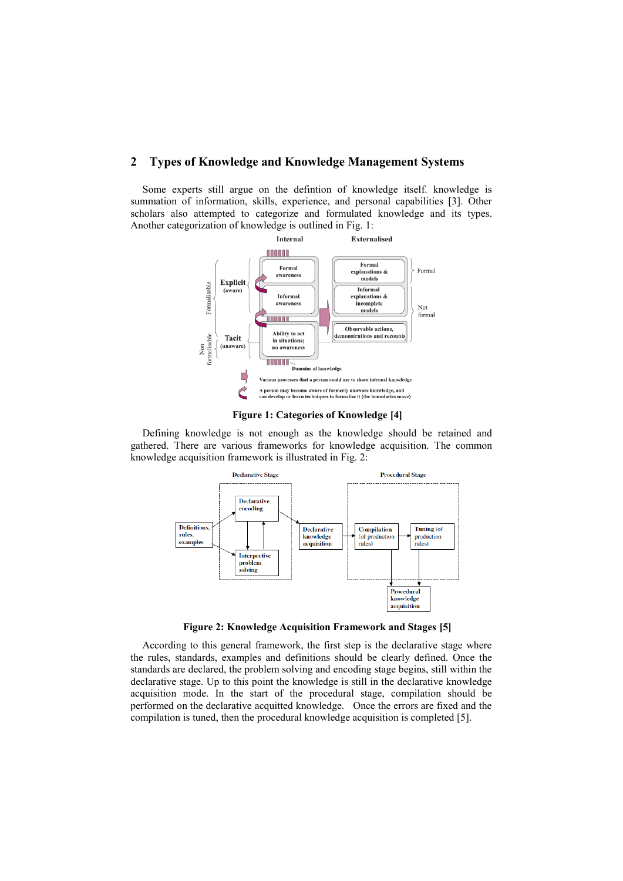### **2 Types of Knowledge and Knowledge Management Systems**

Some experts still argue on the defintion of knowledge itself. knowledge is summation of information, skills, experience, and personal capabilities [3]. Other scholars also attempted to categorize and formulated knowledge and its types. Another categorization of knowledge is outlined in Fig. 1:



**Figure 1: Categories of Knowledge [4]**

Defining knowledge is not enough as the knowledge should be retained and gathered. There are various frameworks for knowledge acquisition. The common knowledge acquisition framework is illustrated in Fig. 2:



**Figure 2: Knowledge Acquisition Framework and Stages [5]**

According to this general framework, the first step is the declarative stage where the rules, standards, examples and definitions should be clearly defined. Once the standards are declared, the problem solving and encoding stage begins, still within the declarative stage. Up to this point the knowledge is still in the declarative knowledge acquisition mode. In the start of the procedural stage, compilation should be performed on the declarative acquitted knowledge. Once the errors are fixed and the compilation is tuned, then the procedural knowledge acquisition is completed [5].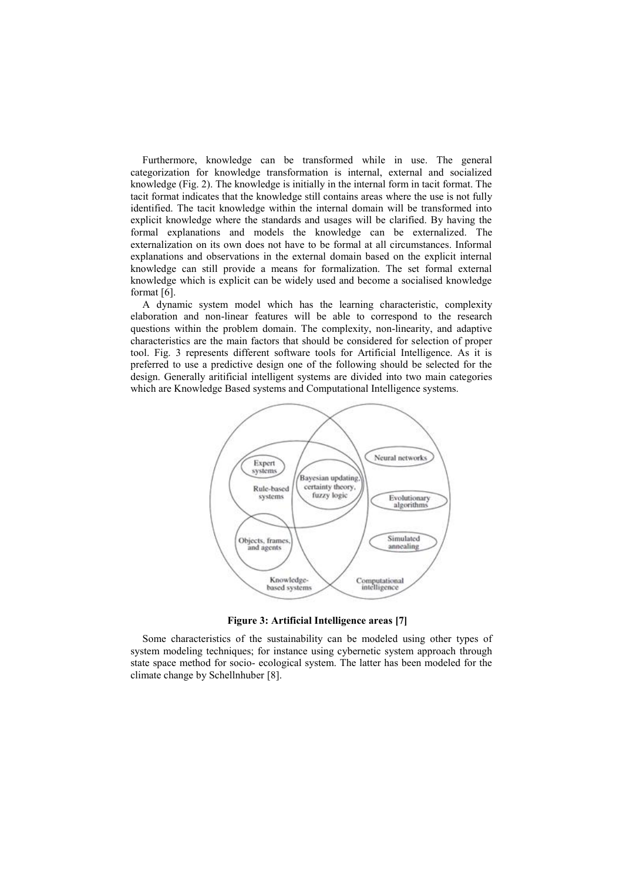Furthermore, knowledge can be transformed while in use. The general categorization for knowledge transformation is internal, external and socialized knowledge (Fig. 2). The knowledge is initially in the internal form in tacit format. The tacit format indicates that the knowledge still contains areas where the use is not fully identified. The tacit knowledge within the internal domain will be transformed into explicit knowledge where the standards and usages will be clarified. By having the formal explanations and models the knowledge can be externalized. The externalization on its own does not have to be formal at all circumstances. Informal explanations and observations in the external domain based on the explicit internal knowledge can still provide a means for formalization. The set formal external knowledge which is explicit can be widely used and become a socialised knowledge format [6].

A dynamic system model which has the learning characteristic, complexity elaboration and non-linear features will be able to correspond to the research questions within the problem domain. The complexity, non-linearity, and adaptive characteristics are the main factors that should be considered for selection of proper tool. Fig. 3 represents different software tools for Artificial Intelligence. As it is preferred to use a predictive design one of the following should be selected for the design. Generally aritificial intelligent systems are divided into two main categories which are Knowledge Based systems and Computational Intelligence systems.



**Figure 3: Artificial Intelligence areas [7]**

Some characteristics of the sustainability can be modeled using other types of system modeling techniques; for instance using cybernetic system approach through state space method for socio- ecological system. The latter has been modeled for the climate change by Schellnhuber [8].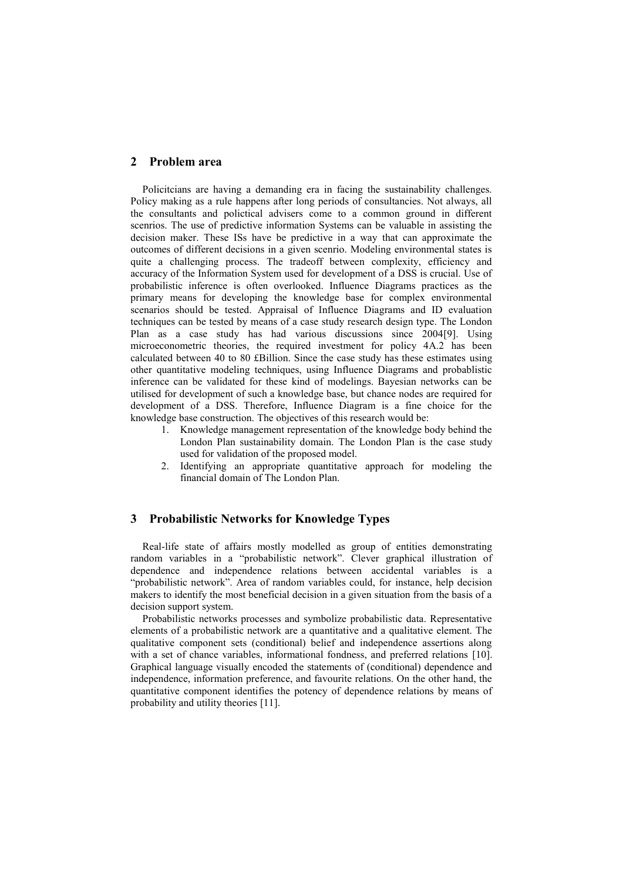#### **2 Problem area**

Policitcians are having a demanding era in facing the sustainability challenges. Policy making as a rule happens after long periods of consultancies. Not always, all the consultants and polictical advisers come to a common ground in different scenrios. The use of predictive information Systems can be valuable in assisting the decision maker. These ISs have be predictive in a way that can approximate the outcomes of different decisions in a given scenrio. Modeling environmental states is quite a challenging process. The tradeoff between complexity, efficiency and accuracy of the Information System used for development of a DSS is crucial. Use of probabilistic inference is often overlooked. Influence Diagrams practices as the primary means for developing the knowledge base for complex environmental scenarios should be tested. Appraisal of Influence Diagrams and ID evaluation techniques can be tested by means of a case study research design type. The London Plan as a case study has had various discussions since 2004[9]. Using microeconometric theories, the required investment for policy 4A.2 has been calculated between 40 to 80 £Billion. Since the case study has these estimates using other quantitative modeling techniques, using Influence Diagrams and probablistic inference can be validated for these kind of modelings. Bayesian networks can be utilised for development of such a knowledge base, but chance nodes are required for development of a DSS. Therefore, Influence Diagram is a fine choice for the knowledge base construction. The objectives of this research would be:

- 1. Knowledge management representation of the knowledge body behind the London Plan sustainability domain. The London Plan is the case study used for validation of the proposed model.
- 2. Identifying an appropriate quantitative approach for modeling the financial domain of The London Plan.

#### **3 Probabilistic Networks for Knowledge Types**

Real-life state of affairs mostly modelled as group of entities demonstrating random variables in a "probabilistic network". Clever graphical illustration of dependence and independence relations between accidental variables is a "probabilistic network". Area of random variables could, for instance, help decision makers to identify the most beneficial decision in a given situation from the basis of a decision support system.

Probabilistic networks processes and symbolize probabilistic data. Representative elements of a probabilistic network are a quantitative and a qualitative element. The qualitative component sets (conditional) belief and independence assertions along with a set of chance variables, informational fondness, and preferred relations [10]. Graphical language visually encoded the statements of (conditional) dependence and independence, information preference, and favourite relations. On the other hand, the quantitative component identifies the potency of dependence relations by means of probability and utility theories [11].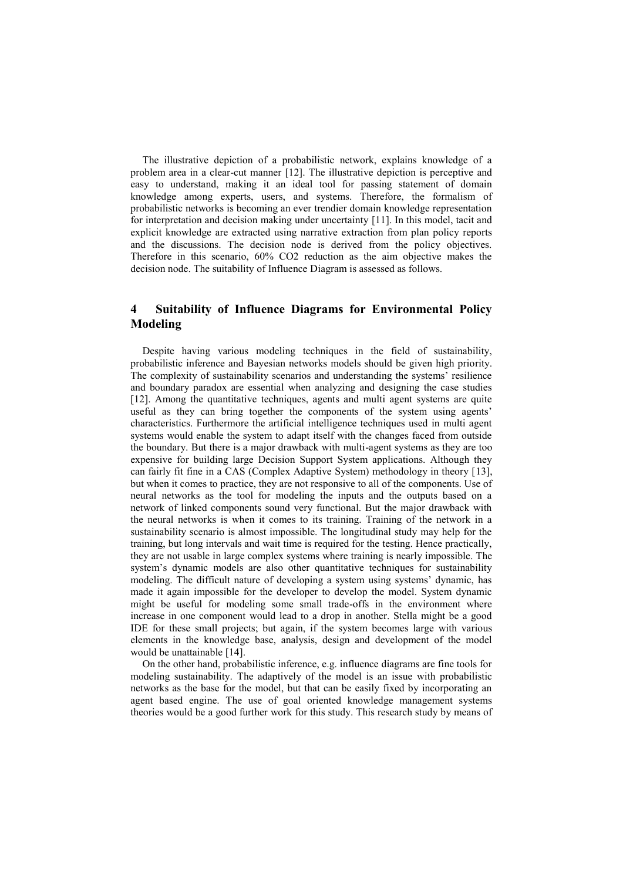The illustrative depiction of a probabilistic network, explains knowledge of a problem area in a clear-cut manner [12]. The illustrative depiction is perceptive and easy to understand, making it an ideal tool for passing statement of domain knowledge among experts, users, and systems. Therefore, the formalism of probabilistic networks is becoming an ever trendier domain knowledge representation for interpretation and decision making under uncertainty [11]. In this model, tacit and explicit knowledge are extracted using narrative extraction from plan policy reports and the discussions. The decision node is derived from the policy objectives. Therefore in this scenario, 60% CO2 reduction as the aim objective makes the decision node. The suitability of Influence Diagram is assessed as follows.

## **4 Suitability of Influence Diagrams for Environmental Policy Modeling**

Despite having various modeling techniques in the field of sustainability, probabilistic inference and Bayesian networks models should be given high priority. The complexity of sustainability scenarios and understanding the systems' resilience and boundary paradox are essential when analyzing and designing the case studies [12]. Among the quantitative techniques, agents and multi agent systems are quite useful as they can bring together the components of the system using agents' characteristics. Furthermore the artificial intelligence techniques used in multi agent systems would enable the system to adapt itself with the changes faced from outside the boundary. But there is a major drawback with multi-agent systems as they are too expensive for building large Decision Support System applications. Although they can fairly fit fine in a CAS (Complex Adaptive System) methodology in theory [13], but when it comes to practice, they are not responsive to all of the components. Use of neural networks as the tool for modeling the inputs and the outputs based on a network of linked components sound very functional. But the major drawback with the neural networks is when it comes to its training. Training of the network in a sustainability scenario is almost impossible. The longitudinal study may help for the training, but long intervals and wait time is required for the testing. Hence practically, they are not usable in large complex systems where training is nearly impossible. The system's dynamic models are also other quantitative techniques for sustainability modeling. The difficult nature of developing a system using systems' dynamic, has made it again impossible for the developer to develop the model. System dynamic might be useful for modeling some small trade-offs in the environment where increase in one component would lead to a drop in another. Stella might be a good IDE for these small projects; but again, if the system becomes large with various elements in the knowledge base, analysis, design and development of the model would be unattainable [14].

On the other hand, probabilistic inference, e.g. influence diagrams are fine tools for modeling sustainability. The adaptively of the model is an issue with probabilistic networks as the base for the model, but that can be easily fixed by incorporating an agent based engine. The use of goal oriented knowledge management systems theories would be a good further work for this study. This research study by means of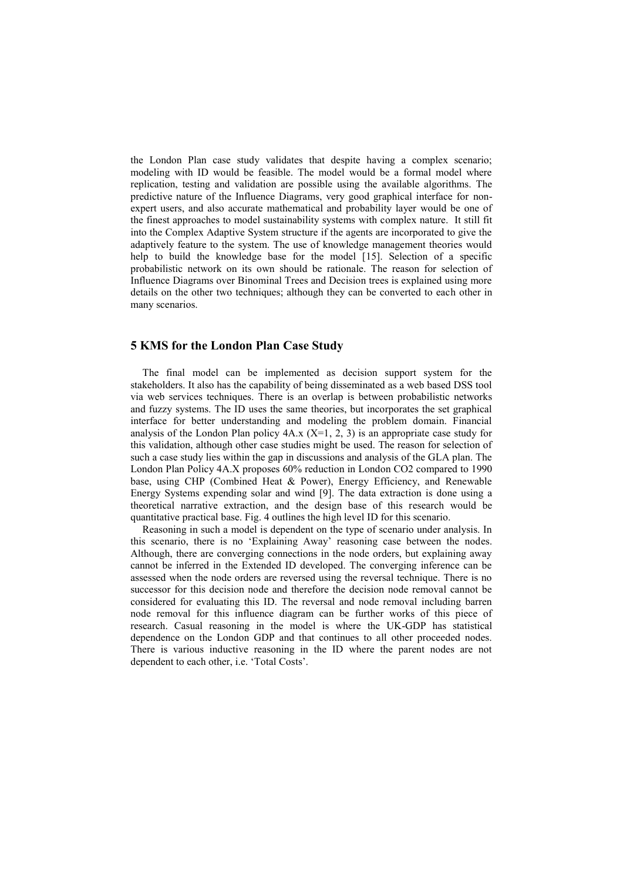the London Plan case study validates that despite having a complex scenario; modeling with ID would be feasible. The model would be a formal model where replication, testing and validation are possible using the available algorithms. The predictive nature of the Influence Diagrams, very good graphical interface for nonexpert users, and also accurate mathematical and probability layer would be one of the finest approaches to model sustainability systems with complex nature. It still fit into the Complex Adaptive System structure if the agents are incorporated to give the adaptively feature to the system. The use of knowledge management theories would help to build the knowledge base for the model [15]. Selection of a specific probabilistic network on its own should be rationale. The reason for selection of Influence Diagrams over Binominal Trees and Decision trees is explained using more details on the other two techniques; although they can be converted to each other in many scenarios.

#### **5 KMS for the London Plan Case Study**

The final model can be implemented as decision support system for the stakeholders. It also has the capability of being disseminated as a web based DSS tool via web services techniques. There is an overlap is between probabilistic networks and fuzzy systems. The ID uses the same theories, but incorporates the set graphical interface for better understanding and modeling the problem domain. Financial analysis of the London Plan policy  $4A.x (X=1, 2, 3)$  is an appropriate case study for this validation, although other case studies might be used. The reason for selection of such a case study lies within the gap in discussions and analysis of the GLA plan. The London Plan Policy 4A.X proposes 60% reduction in London CO2 compared to 1990 base, using CHP (Combined Heat & Power), Energy Efficiency, and Renewable Energy Systems expending solar and wind [9]. The data extraction is done using a theoretical narrative extraction, and the design base of this research would be quantitative practical base. Fig. 4 outlines the high level ID for this scenario.

Reasoning in such a model is dependent on the type of scenario under analysis. In this scenario, there is no 'Explaining Away' reasoning case between the nodes. Although, there are converging connections in the node orders, but explaining away cannot be inferred in the Extended ID developed. The converging inference can be assessed when the node orders are reversed using the reversal technique. There is no successor for this decision node and therefore the decision node removal cannot be considered for evaluating this ID. The reversal and node removal including barren node removal for this influence diagram can be further works of this piece of research. Casual reasoning in the model is where the UK-GDP has statistical dependence on the London GDP and that continues to all other proceeded nodes. There is various inductive reasoning in the ID where the parent nodes are not dependent to each other, i.e. 'Total Costs'.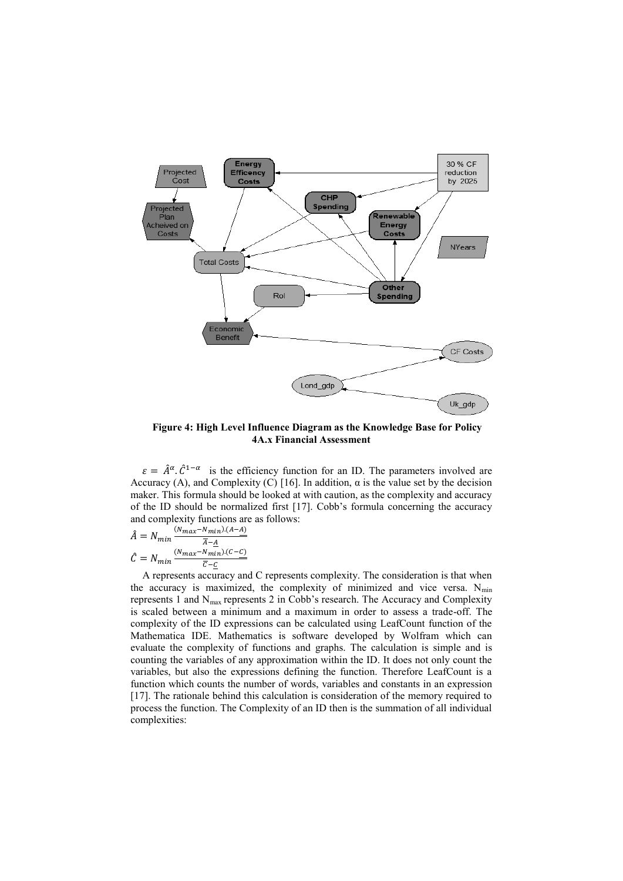

**Figure 4: High Level Influence Diagram as the Knowledge Base for Policy 4A.x Financial Assessment**

 $\varepsilon = \hat{A}^{\alpha} \cdot \hat{C}^{1-\alpha}$  is the efficiency function for an ID. The parameters involved are Accuracy (A), and Complexity (C) [16]. In addition,  $\alpha$  is the value set by the decision maker. This formula should be looked at with caution, as the complexity and accuracy of the ID should be normalized first [17]. Cobb's formula concerning the accuracy and complexity functions are as follows:

$$
\hat{A} = N_{min} \frac{(N_{max} - N_{min}) \cdot (A - \underline{A})}{\overline{A} - \underline{A}}
$$

$$
\hat{C} = N_{min} \frac{(N_{max} - N_{min}) \cdot (C - \underline{C})}{\overline{C} - \underline{C}}
$$

A represents accuracy and C represents complexity. The consideration is that when the accuracy is maximized, the complexity of minimized and vice versa.  $N_{min}$ represents 1 and Nmax represents 2 in Cobb's research. The Accuracy and Complexity is scaled between a minimum and a maximum in order to assess a trade-off. The complexity of the ID expressions can be calculated using LeafCount function of the Mathematica IDE. Mathematics is software developed by Wolfram which can evaluate the complexity of functions and graphs. The calculation is simple and is counting the variables of any approximation within the ID. It does not only count the variables, but also the expressions defining the function. Therefore LeafCount is a function which counts the number of words, variables and constants in an expression [17]. The rationale behind this calculation is consideration of the memory required to process the function. The Complexity of an ID then is the summation of all individual complexities: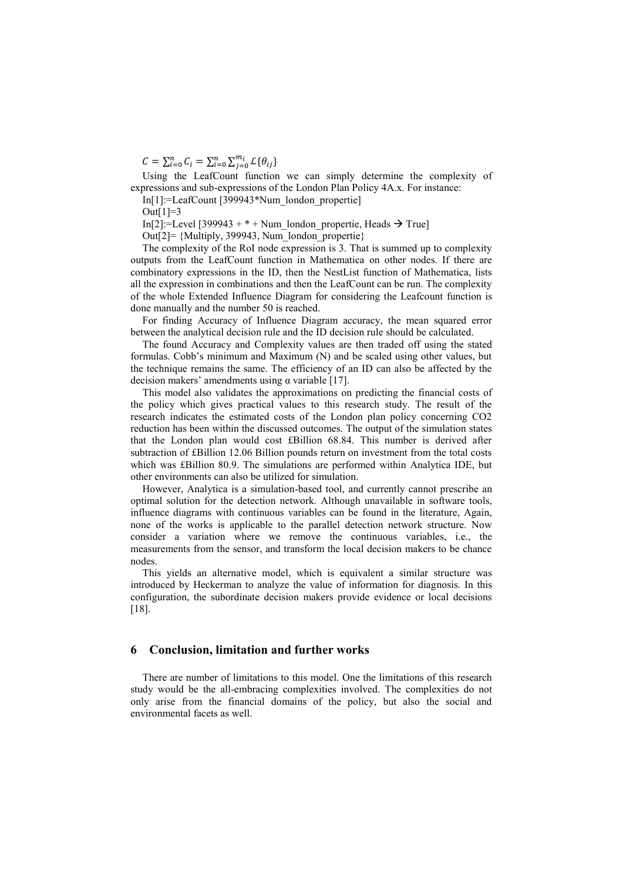$C = \sum_{i=0}^{n} C_i = \sum_{i=0}^{n} \sum_{i=0}^{m_i} L_i$  $\sum_{i=0}^{n} C_i = \sum_{i=0}^{n} \sum_{j=0}^{n}$ 

Using the LeafCount function we can simply determine the complexity of expressions and sub-expressions of the London Plan Policy 4A.x. For instance:

In[1]:=LeafCount [399943\*Num\_london\_propertie]

Out[1]=3

In[2]:=Level [399943 +  $*$  + Num\_london\_propertie, Heads  $\rightarrow$  True]

Out[2]= {Multiply, 399943, Num\_london\_propertie}

The complexity of the RoI node expression is 3. That is summed up to complexity outputs from the LeafCount function in Mathematica on other nodes. If there are combinatory expressions in the ID, then the NestList function of Mathematica, lists all the expression in combinations and then the LeafCount can be run. The complexity of the whole Extended Influence Diagram for considering the Leafcount function is done manually and the number 50 is reached.

For finding Accuracy of Influence Diagram accuracy, the mean squared error between the analytical decision rule and the ID decision rule should be calculated.

The found Accuracy and Complexity values are then traded off using the stated formulas. Cobb's minimum and Maximum (N) and be scaled using other values, but the technique remains the same. The efficiency of an ID can also be affected by the decision makers' amendments using  $\alpha$  variable [17].

This model also validates the approximations on predicting the financial costs of the policy which gives practical values to this research study. The result of the research indicates the estimated costs of the London plan policy concerning CO2 reduction has been within the discussed outcomes. The output of the simulation states that the London plan would cost £Billion 68.84. This number is derived after subtraction of £Billion 12.06 Billion pounds return on investment from the total costs which was £Billion 80.9. The simulations are performed within Analytica IDE, but other environments can also be utilized for simulation.

However, Analytica is a simulation-based tool, and currently cannot prescribe an optimal solution for the detection network. Although unavailable in software tools, influence diagrams with continuous variables can be found in the literature, Again, none of the works is applicable to the parallel detection network structure. Now consider a variation where we remove the continuous variables, i.e., the measurements from the sensor, and transform the local decision makers to be chance nodes.

This yields an alternative model, which is equivalent a similar structure was introduced by Heckerman to analyze the value of information for diagnosis. In this configuration, the subordinate decision makers provide evidence or local decisions [18].

#### **6 Conclusion, limitation and further works**

There are number of limitations to this model. One the limitations of this research study would be the all-embracing complexities involved. The complexities do not only arise from the financial domains of the policy, but also the social and environmental facets as well.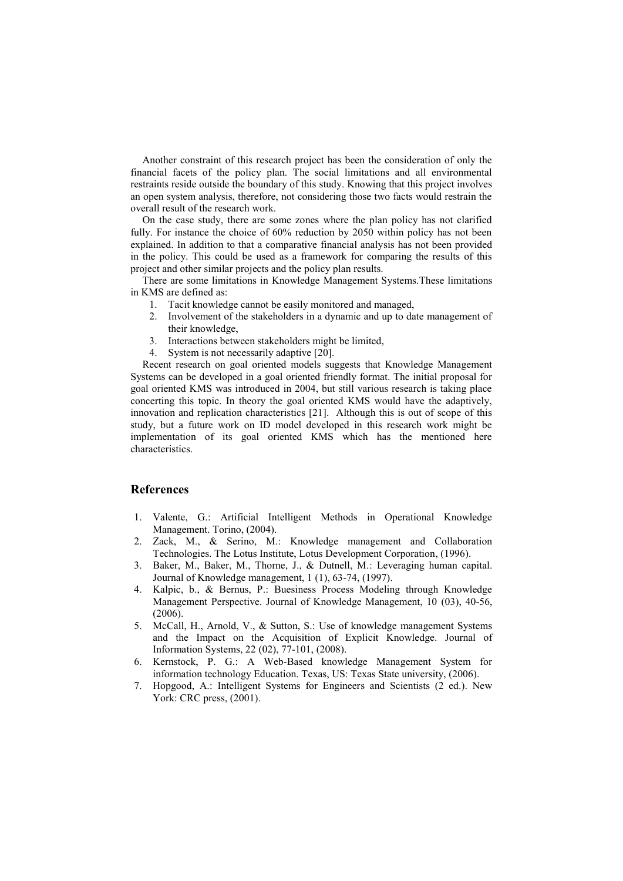Another constraint of this research project has been the consideration of only the financial facets of the policy plan. The social limitations and all environmental restraints reside outside the boundary of this study. Knowing that this project involves an open system analysis, therefore, not considering those two facts would restrain the overall result of the research work.

On the case study, there are some zones where the plan policy has not clarified fully. For instance the choice of 60% reduction by 2050 within policy has not been explained. In addition to that a comparative financial analysis has not been provided in the policy. This could be used as a framework for comparing the results of this project and other similar projects and the policy plan results.

There are some limitations in Knowledge Management Systems.These limitations in KMS are defined as:

- 1. Tacit knowledge cannot be easily monitored and managed,
- 2. Involvement of the stakeholders in a dynamic and up to date management of their knowledge,
- 3. Interactions between stakeholders might be limited,
- 4. System is not necessarily adaptive [20].

Recent research on goal oriented models suggests that Knowledge Management Systems can be developed in a goal oriented friendly format. The initial proposal for goal oriented KMS was introduced in 2004, but still various research is taking place concerting this topic. In theory the goal oriented KMS would have the adaptively, innovation and replication characteristics [21]. Although this is out of scope of this study, but a future work on ID model developed in this research work might be implementation of its goal oriented KMS which has the mentioned here characteristics.

#### **References**

- 1. Valente, G.: Artificial Intelligent Methods in Operational Knowledge Management. Torino, (2004).
- 2. Zack, M., & Serino, M.: Knowledge management and Collaboration Technologies. The Lotus Institute, Lotus Development Corporation, (1996).
- 3. Baker, M., Baker, M., Thorne, J., & Dutnell, M.: Leveraging human capital. Journal of Knowledge management, 1 (1), 63-74, (1997).
- 4. Kalpic, b., & Bernus, P.: Buesiness Process Modeling through Knowledge Management Perspective. Journal of Knowledge Management, 10 (03), 40-56, (2006).
- 5. McCall, H., Arnold, V., & Sutton, S.: Use of knowledge management Systems and the Impact on the Acquisition of Explicit Knowledge. Journal of Information Systems, 22 (02), 77-101, (2008).
- 6. Kernstock, P. G.: A Web-Based knowledge Management System for information technology Education. Texas, US: Texas State university, (2006).
- 7. Hopgood, A.: Intelligent Systems for Engineers and Scientists (2 ed.). New York: CRC press, (2001).